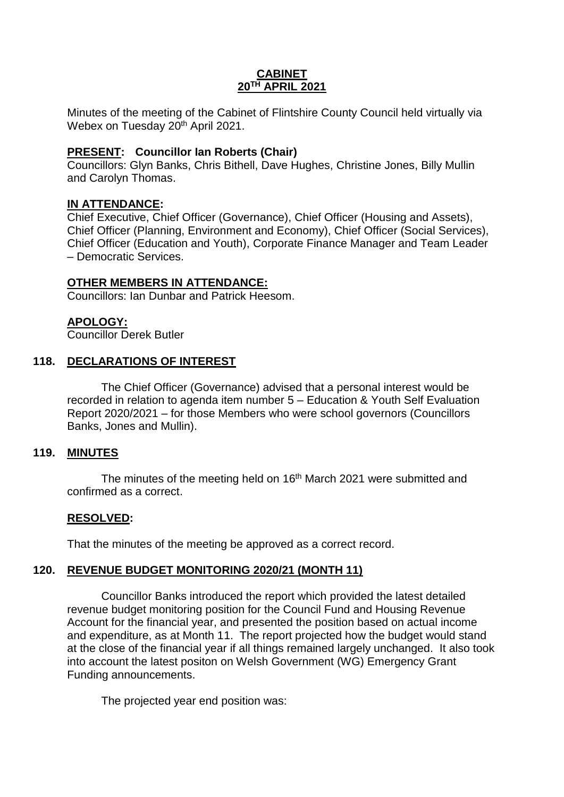## **CABINET 20TH APRIL 2021**

Minutes of the meeting of the Cabinet of Flintshire County Council held virtually via Webex on Tuesday 20<sup>th</sup> April 2021.

## **PRESENT: Councillor Ian Roberts (Chair)**

Councillors: Glyn Banks, Chris Bithell, Dave Hughes, Christine Jones, Billy Mullin and Carolyn Thomas.

## **IN ATTENDANCE:**

Chief Executive, Chief Officer (Governance), Chief Officer (Housing and Assets), Chief Officer (Planning, Environment and Economy), Chief Officer (Social Services), Chief Officer (Education and Youth), Corporate Finance Manager and Team Leader – Democratic Services.

## **OTHER MEMBERS IN ATTENDANCE:**

Councillors: Ian Dunbar and Patrick Heesom.

# **APOLOGY:**

Councillor Derek Butler

## **118. DECLARATIONS OF INTEREST**

The Chief Officer (Governance) advised that a personal interest would be recorded in relation to agenda item number 5 – Education & Youth Self Evaluation Report 2020/2021 – for those Members who were school governors (Councillors Banks, Jones and Mullin).

#### **119. MINUTES**

The minutes of the meeting held on 16<sup>th</sup> March 2021 were submitted and confirmed as a correct.

#### **RESOLVED:**

That the minutes of the meeting be approved as a correct record.

#### **120. REVENUE BUDGET MONITORING 2020/21 (MONTH 11)**

Councillor Banks introduced the report which provided the latest detailed revenue budget monitoring position for the Council Fund and Housing Revenue Account for the financial year, and presented the position based on actual income and expenditure, as at Month 11. The report projected how the budget would stand at the close of the financial year if all things remained largely unchanged. It also took into account the latest positon on Welsh Government (WG) Emergency Grant Funding announcements.

The projected year end position was: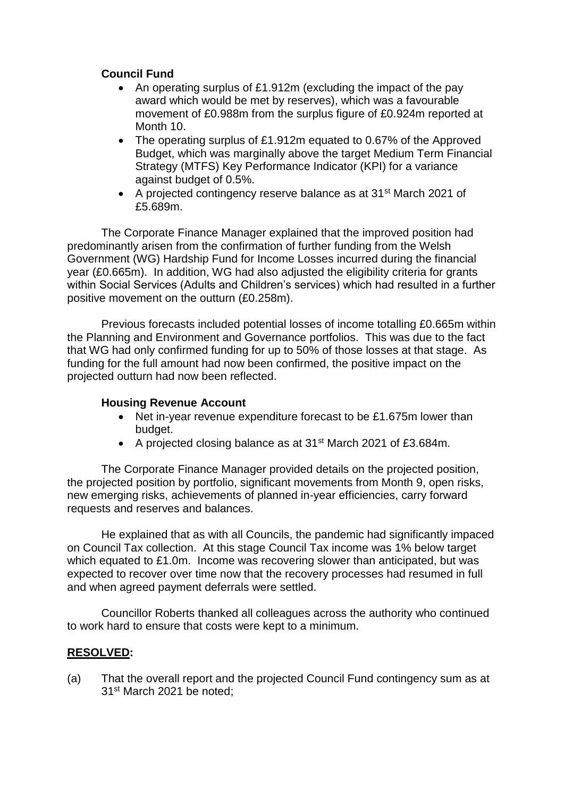# **Council Fund**

- An operating surplus of £1.912m (excluding the impact of the pay award which would be met by reserves), which was a favourable movement of £0.988m from the surplus figure of £0.924m reported at Month 10.
- The operating surplus of £1.912m equated to 0.67% of the Approved Budget, which was marginally above the target Medium Term Financial Strategy (MTFS) Key Performance Indicator (KPI) for a variance against budget of 0.5%.
- A projected contingency reserve balance as at 31<sup>st</sup> March 2021 of £5.689m.

The Corporate Finance Manager explained that the improved position had predominantly arisen from the confirmation of further funding from the Welsh Government (WG) Hardship Fund for Income Losses incurred during the financial year (£0.665m). In addition, WG had also adjusted the eligibility criteria for grants within Social Services (Adults and Children's services) which had resulted in a further positive movement on the outturn (£0.258m).

Previous forecasts included potential losses of income totalling £0.665m within the Planning and Environment and Governance portfolios. This was due to the fact that WG had only confirmed funding for up to 50% of those losses at that stage. As funding for the full amount had now been confirmed, the positive impact on the projected outturn had now been reflected.

## **Housing Revenue Account**

- Net in-year revenue expenditure forecast to be £1.675m lower than budget.
- A projected closing balance as at 31<sup>st</sup> March 2021 of £3.684m.

The Corporate Finance Manager provided details on the projected position, the projected position by portfolio, significant movements from Month 9, open risks, new emerging risks, achievements of planned in-year efficiencies, carry forward requests and reserves and balances.

He explained that as with all Councils, the pandemic had significantly impaced on Council Tax collection. At this stage Council Tax income was 1% below target which equated to £1.0m. Income was recovering slower than anticipated, but was expected to recover over time now that the recovery processes had resumed in full and when agreed payment deferrals were settled.

Councillor Roberts thanked all colleagues across the authority who continued to work hard to ensure that costs were kept to a minimum.

# **RESOLVED:**

(a) That the overall report and the projected Council Fund contingency sum as at 31st March 2021 be noted;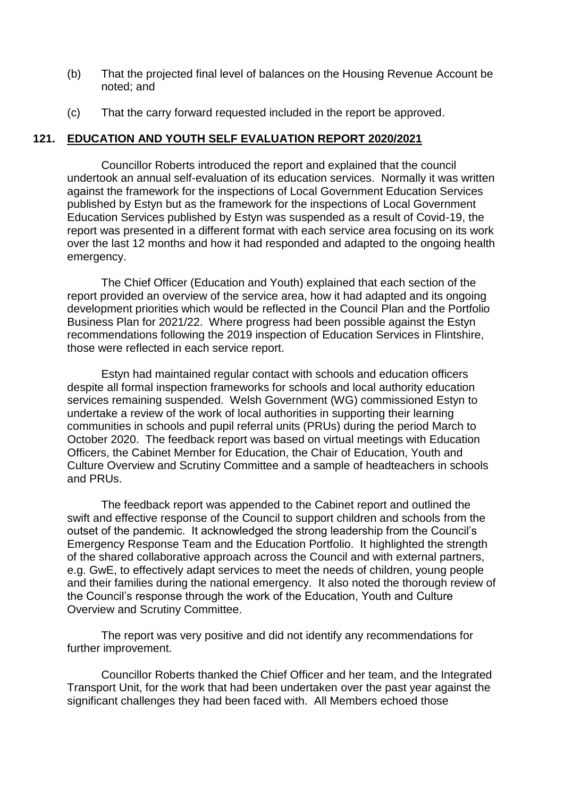- (b) That the projected final level of balances on the Housing Revenue Account be noted; and
- (c) That the carry forward requested included in the report be approved.

#### **121. EDUCATION AND YOUTH SELF EVALUATION REPORT 2020/2021**

Councillor Roberts introduced the report and explained that the council undertook an annual self-evaluation of its education services. Normally it was written against the framework for the inspections of Local Government Education Services published by Estyn but as the framework for the inspections of Local Government Education Services published by Estyn was suspended as a result of Covid-19, the report was presented in a different format with each service area focusing on its work over the last 12 months and how it had responded and adapted to the ongoing health emergency.

The Chief Officer (Education and Youth) explained that each section of the report provided an overview of the service area, how it had adapted and its ongoing development priorities which would be reflected in the Council Plan and the Portfolio Business Plan for 2021/22. Where progress had been possible against the Estyn recommendations following the 2019 inspection of Education Services in Flintshire, those were reflected in each service report.

Estyn had maintained regular contact with schools and education officers despite all formal inspection frameworks for schools and local authority education services remaining suspended. Welsh Government (WG) commissioned Estyn to undertake a review of the work of local authorities in supporting their learning communities in schools and pupil referral units (PRUs) during the period March to October 2020. The feedback report was based on virtual meetings with Education Officers, the Cabinet Member for Education, the Chair of Education, Youth and Culture Overview and Scrutiny Committee and a sample of headteachers in schools and PRUs.

The feedback report was appended to the Cabinet report and outlined the swift and effective response of the Council to support children and schools from the outset of the pandemic. It acknowledged the strong leadership from the Council's Emergency Response Team and the Education Portfolio. It highlighted the strength of the shared collaborative approach across the Council and with external partners, e.g. GwE, to effectively adapt services to meet the needs of children, young people and their families during the national emergency. It also noted the thorough review of the Council's response through the work of the Education, Youth and Culture Overview and Scrutiny Committee.

The report was very positive and did not identify any recommendations for further improvement.

Councillor Roberts thanked the Chief Officer and her team, and the Integrated Transport Unit, for the work that had been undertaken over the past year against the significant challenges they had been faced with. All Members echoed those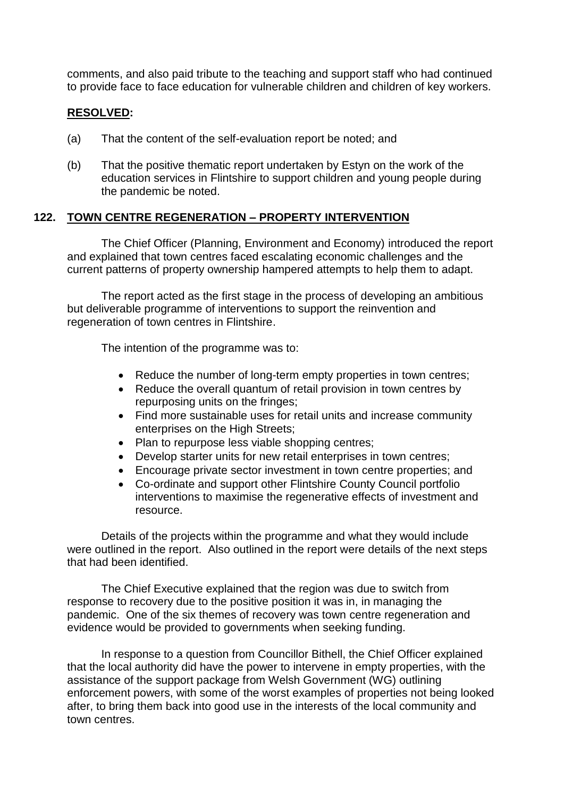comments, and also paid tribute to the teaching and support staff who had continued to provide face to face education for vulnerable children and children of key workers.

## **RESOLVED:**

- (a) That the content of the self-evaluation report be noted; and
- (b) That the positive thematic report undertaken by Estyn on the work of the education services in Flintshire to support children and young people during the pandemic be noted.

## **122. TOWN CENTRE REGENERATION – PROPERTY INTERVENTION**

The Chief Officer (Planning, Environment and Economy) introduced the report and explained that town centres faced escalating economic challenges and the current patterns of property ownership hampered attempts to help them to adapt.

The report acted as the first stage in the process of developing an ambitious but deliverable programme of interventions to support the reinvention and regeneration of town centres in Flintshire.

The intention of the programme was to:

- Reduce the number of long-term empty properties in town centres;
- Reduce the overall quantum of retail provision in town centres by repurposing units on the fringes;
- Find more sustainable uses for retail units and increase community enterprises on the High Streets;
- Plan to repurpose less viable shopping centres;
- Develop starter units for new retail enterprises in town centres;
- Encourage private sector investment in town centre properties; and
- Co-ordinate and support other Flintshire County Council portfolio interventions to maximise the regenerative effects of investment and resource.

Details of the projects within the programme and what they would include were outlined in the report. Also outlined in the report were details of the next steps that had been identified.

The Chief Executive explained that the region was due to switch from response to recovery due to the positive position it was in, in managing the pandemic. One of the six themes of recovery was town centre regeneration and evidence would be provided to governments when seeking funding.

In response to a question from Councillor Bithell, the Chief Officer explained that the local authority did have the power to intervene in empty properties, with the assistance of the support package from Welsh Government (WG) outlining enforcement powers, with some of the worst examples of properties not being looked after, to bring them back into good use in the interests of the local community and town centres.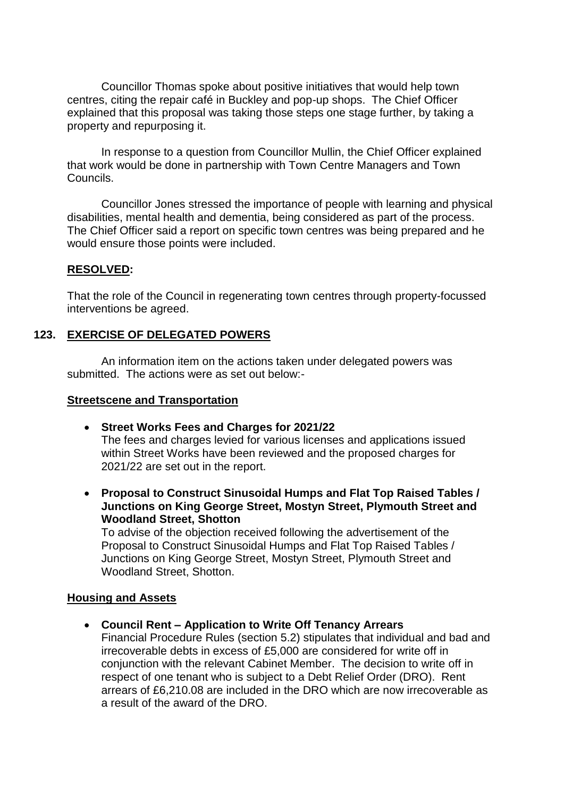Councillor Thomas spoke about positive initiatives that would help town centres, citing the repair café in Buckley and pop-up shops. The Chief Officer explained that this proposal was taking those steps one stage further, by taking a property and repurposing it.

In response to a question from Councillor Mullin, the Chief Officer explained that work would be done in partnership with Town Centre Managers and Town Councils.

Councillor Jones stressed the importance of people with learning and physical disabilities, mental health and dementia, being considered as part of the process. The Chief Officer said a report on specific town centres was being prepared and he would ensure those points were included.

#### **RESOLVED:**

That the role of the Council in regenerating town centres through property-focussed interventions be agreed.

#### **123. EXERCISE OF DELEGATED POWERS**

An information item on the actions taken under delegated powers was submitted. The actions were as set out below:-

#### **Streetscene and Transportation**

- **Street Works Fees and Charges for 2021/22** The fees and charges levied for various licenses and applications issued within Street Works have been reviewed and the proposed charges for 2021/22 are set out in the report.
- **Proposal to Construct Sinusoidal Humps and Flat Top Raised Tables / Junctions on King George Street, Mostyn Street, Plymouth Street and Woodland Street, Shotton**

To advise of the objection received following the advertisement of the Proposal to Construct Sinusoidal Humps and Flat Top Raised Tables / Junctions on King George Street, Mostyn Street, Plymouth Street and Woodland Street, Shotton.

#### **Housing and Assets**

**Council Rent – Application to Write Off Tenancy Arrears**

Financial Procedure Rules (section 5.2) stipulates that individual and bad and irrecoverable debts in excess of £5,000 are considered for write off in conjunction with the relevant Cabinet Member. The decision to write off in respect of one tenant who is subject to a Debt Relief Order (DRO). Rent arrears of £6,210.08 are included in the DRO which are now irrecoverable as a result of the award of the DRO.